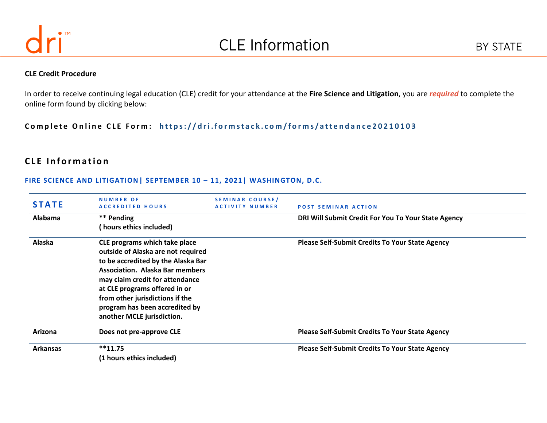

#### **CLE Credit Procedure**

In order to receive continuing legal education (CLE) credit for your attendance at the **Fire Science and Litigation**, you are *required* to complete the online form found by clicking below:

Complete Online CLE Form: https://dri.formstack.com/forms/attendance20210103

# **CLE Information**

#### **FIRE SCIENCE AND LITIGATION| SEPTEMBER 10 – 11, 2021| WASHINGTON, D.C.**

| <b>STATE</b>    | <b>NUMBER OF</b><br><b>ACCREDITED HOURS</b>                         | <b>SEMINAR COURSE/</b><br><b>ACTIVITY NUMBER</b> | <b>POST SEMINAR ACTION</b>                             |
|-----------------|---------------------------------------------------------------------|--------------------------------------------------|--------------------------------------------------------|
| Alabama         | ** Pending                                                          |                                                  | DRI Will Submit Credit For You To Your State Agency    |
|                 | ( hours ethics included)                                            |                                                  |                                                        |
| Alaska          | CLE programs which take place<br>outside of Alaska are not required |                                                  | <b>Please Self-Submit Credits To Your State Agency</b> |
|                 | to be accredited by the Alaska Bar                                  |                                                  |                                                        |
|                 | <b>Association. Alaska Bar members</b>                              |                                                  |                                                        |
|                 | may claim credit for attendance                                     |                                                  |                                                        |
|                 | at CLE programs offered in or                                       |                                                  |                                                        |
|                 | from other jurisdictions if the                                     |                                                  |                                                        |
|                 | program has been accredited by                                      |                                                  |                                                        |
|                 | another MCLE jurisdiction.                                          |                                                  |                                                        |
| Arizona         | Does not pre-approve CLE                                            |                                                  | <b>Please Self-Submit Credits To Your State Agency</b> |
| <b>Arkansas</b> | $**11.75$                                                           |                                                  | <b>Please Self-Submit Credits To Your State Agency</b> |
|                 | (1 hours ethics included)                                           |                                                  |                                                        |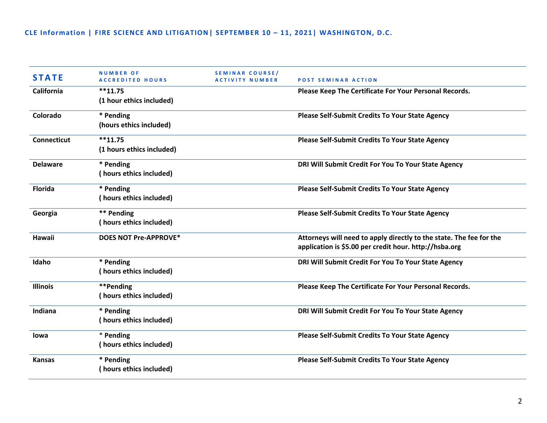| <b>STATE</b>       | <b>NUMBER OF</b><br><b>ACCREDITED HOURS</b> | SEMINAR COURSE/<br><b>ACTIVITY NUMBER</b> | <b>POST SEMINAR ACTION</b>                                                                                                    |
|--------------------|---------------------------------------------|-------------------------------------------|-------------------------------------------------------------------------------------------------------------------------------|
| California         | $**11.75$<br>(1 hour ethics included)       |                                           | Please Keep The Certificate For Your Personal Records.                                                                        |
| Colorado           | * Pending<br>(hours ethics included)        |                                           | <b>Please Self-Submit Credits To Your State Agency</b>                                                                        |
| <b>Connecticut</b> | $**11.75$<br>(1 hours ethics included)      |                                           | <b>Please Self-Submit Credits To Your State Agency</b>                                                                        |
| <b>Delaware</b>    | * Pending<br>(hours ethics included)        |                                           | DRI Will Submit Credit For You To Your State Agency                                                                           |
| <b>Florida</b>     | * Pending<br>(hours ethics included)        |                                           | <b>Please Self-Submit Credits To Your State Agency</b>                                                                        |
| Georgia            | ** Pending<br>(hours ethics included)       |                                           | <b>Please Self-Submit Credits To Your State Agency</b>                                                                        |
| Hawaii             | DOES NOT Pre-APPROVE*                       |                                           | Attorneys will need to apply directly to the state. The fee for the<br>application is \$5.00 per credit hour. http://hsba.org |
| Idaho              | * Pending<br>(hours ethics included)        |                                           | DRI Will Submit Credit For You To Your State Agency                                                                           |
| <b>Illinois</b>    | **Pending<br>(hours ethics included)        |                                           | Please Keep The Certificate For Your Personal Records.                                                                        |
| Indiana            | * Pending<br>(hours ethics included)        |                                           | DRI Will Submit Credit For You To Your State Agency                                                                           |
| lowa               | * Pending<br>(hours ethics included)        |                                           | <b>Please Self-Submit Credits To Your State Agency</b>                                                                        |
| <b>Kansas</b>      | * Pending<br>(hours ethics included)        |                                           | <b>Please Self-Submit Credits To Your State Agency</b>                                                                        |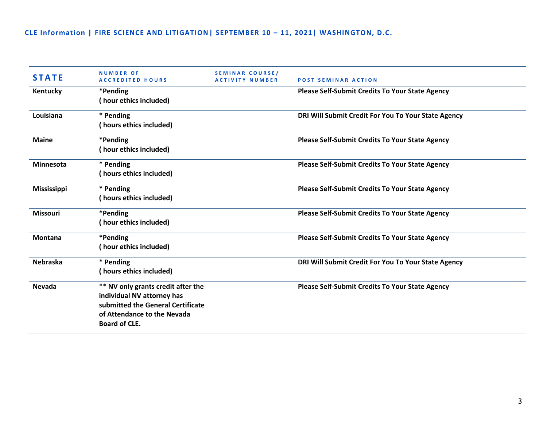| <b>STATE</b>       | <b>NUMBER OF</b><br><b>ACCREDITED HOURS</b>                                                                                                                  | SEMINAR COURSE/<br><b>ACTIVITY NUMBER</b> | <b>POST SEMINAR ACTION</b>                             |
|--------------------|--------------------------------------------------------------------------------------------------------------------------------------------------------------|-------------------------------------------|--------------------------------------------------------|
| Kentucky           | *Pending<br>(hour ethics included)                                                                                                                           |                                           | <b>Please Self-Submit Credits To Your State Agency</b> |
| Louisiana          | * Pending<br>(hours ethics included)                                                                                                                         |                                           | DRI Will Submit Credit For You To Your State Agency    |
| <b>Maine</b>       | *Pending<br>(hour ethics included)                                                                                                                           |                                           | <b>Please Self-Submit Credits To Your State Agency</b> |
| <b>Minnesota</b>   | * Pending<br>(hours ethics included)                                                                                                                         |                                           | <b>Please Self-Submit Credits To Your State Agency</b> |
| <b>Mississippi</b> | * Pending<br>(hours ethics included)                                                                                                                         |                                           | <b>Please Self-Submit Credits To Your State Agency</b> |
| <b>Missouri</b>    | *Pending<br>(hour ethics included)                                                                                                                           |                                           | <b>Please Self-Submit Credits To Your State Agency</b> |
| <b>Montana</b>     | *Pending<br>(hour ethics included)                                                                                                                           |                                           | <b>Please Self-Submit Credits To Your State Agency</b> |
| <b>Nebraska</b>    | * Pending<br>(hours ethics included)                                                                                                                         |                                           | DRI Will Submit Credit For You To Your State Agency    |
| <b>Nevada</b>      | ** NV only grants credit after the<br>individual NV attorney has<br>submitted the General Certificate<br>of Attendance to the Nevada<br><b>Board of CLE.</b> |                                           | <b>Please Self-Submit Credits To Your State Agency</b> |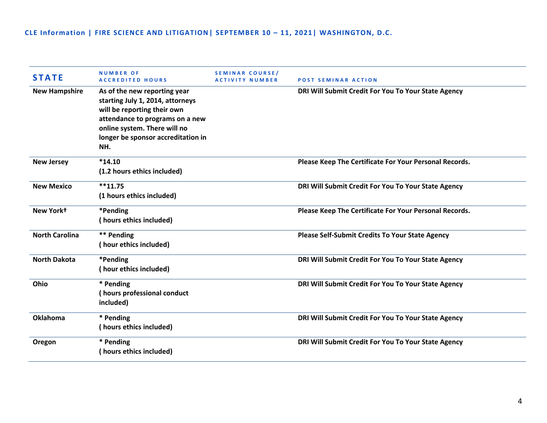| <b>STATE</b>          | <b>NUMBER OF</b><br><b>ACCREDITED HOURS</b>                                                                                                                                                                     | SEMINAR COURSE/<br><b>ACTIVITY NUMBER</b> | <b>POST SEMINAR ACTION</b>                             |
|-----------------------|-----------------------------------------------------------------------------------------------------------------------------------------------------------------------------------------------------------------|-------------------------------------------|--------------------------------------------------------|
| <b>New Hampshire</b>  | As of the new reporting year<br>starting July 1, 2014, attorneys<br>will be reporting their own<br>attendance to programs on a new<br>online system. There will no<br>longer be sponsor accreditation in<br>NH. |                                           | DRI Will Submit Credit For You To Your State Agency    |
| <b>New Jersey</b>     | $*14.10$<br>(1.2 hours ethics included)                                                                                                                                                                         |                                           | Please Keep The Certificate For Your Personal Records. |
| <b>New Mexico</b>     | $**11.75$<br>(1 hours ethics included)                                                                                                                                                                          |                                           | DRI Will Submit Credit For You To Your State Agency    |
| New York+             | *Pending<br>(hours ethics included)                                                                                                                                                                             |                                           | Please Keep The Certificate For Your Personal Records. |
| <b>North Carolina</b> | ** Pending<br>(hour ethics included)                                                                                                                                                                            |                                           | Please Self-Submit Credits To Your State Agency        |
| <b>North Dakota</b>   | *Pending<br>(hour ethics included)                                                                                                                                                                              |                                           | DRI Will Submit Credit For You To Your State Agency    |
| Ohio                  | * Pending<br>(hours professional conduct<br>included)                                                                                                                                                           |                                           | DRI Will Submit Credit For You To Your State Agency    |
| Oklahoma              | * Pending<br>(hours ethics included)                                                                                                                                                                            |                                           | DRI Will Submit Credit For You To Your State Agency    |
| Oregon                | * Pending<br>(hours ethics included)                                                                                                                                                                            |                                           | DRI Will Submit Credit For You To Your State Agency    |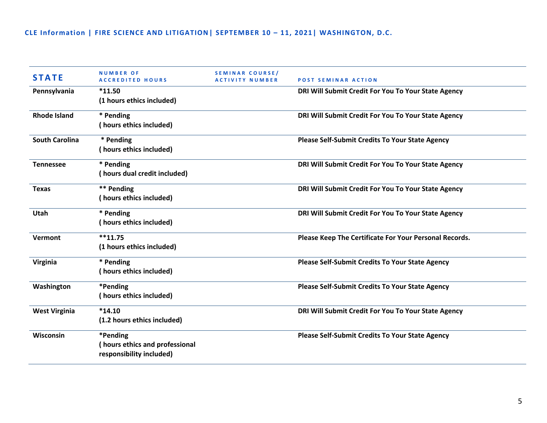| <b>STATE</b>          | <b>NUMBER OF</b><br><b>ACCREDITED HOURS</b>                            | <b>SEMINAR COURSE/</b><br><b>ACTIVITY NUMBER</b> | <b>POST SEMINAR ACTION</b>                             |
|-----------------------|------------------------------------------------------------------------|--------------------------------------------------|--------------------------------------------------------|
| Pennsylvania          | $*11.50$<br>(1 hours ethics included)                                  |                                                  | DRI Will Submit Credit For You To Your State Agency    |
| <b>Rhode Island</b>   | * Pending<br>(hours ethics included)                                   |                                                  | DRI Will Submit Credit For You To Your State Agency    |
| <b>South Carolina</b> | * Pending<br>(hours ethics included)                                   |                                                  | Please Self-Submit Credits To Your State Agency        |
| <b>Tennessee</b>      | * Pending<br>(hours dual credit included)                              |                                                  | DRI Will Submit Credit For You To Your State Agency    |
| <b>Texas</b>          | ** Pending<br>(hours ethics included)                                  |                                                  | DRI Will Submit Credit For You To Your State Agency    |
| Utah                  | * Pending<br>(hours ethics included)                                   |                                                  | DRI Will Submit Credit For You To Your State Agency    |
| Vermont               | $**11.75$<br>(1 hours ethics included)                                 |                                                  | Please Keep The Certificate For Your Personal Records. |
| Virginia              | * Pending<br>(hours ethics included)                                   |                                                  | <b>Please Self-Submit Credits To Your State Agency</b> |
| Washington            | *Pending<br>(hours ethics included)                                    |                                                  | <b>Please Self-Submit Credits To Your State Agency</b> |
| <b>West Virginia</b>  | $*14.10$<br>(1.2 hours ethics included)                                |                                                  | DRI Will Submit Credit For You To Your State Agency    |
| Wisconsin             | *Pending<br>(hours ethics and professional<br>responsibility included) |                                                  | Please Self-Submit Credits To Your State Agency        |